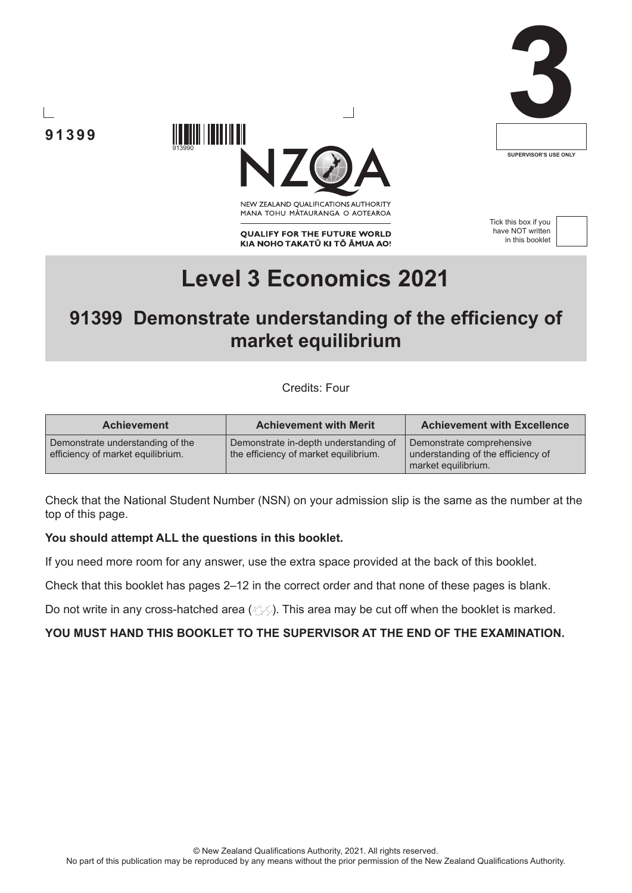





NEW ZEALAND OUALIFICATIONS AUTHORITY MANA TOHU MATAURANGA O AOTEAROA

**QUALIFY FOR THE FUTURE WORLD** KIA NOHO TAKATŪ KI TŌ ĀMUA AO! Tick this box if you have NOT written in this booklet



# **Level 3 Economics 2021**

# **91399 Demonstrate understanding of the efficiency of market equilibrium**

Credits: Four

| <b>Achievement</b>                                                    | <b>Achievement with Merit</b>                                                  | <b>Achievement with Excellence</b>                                                     |
|-----------------------------------------------------------------------|--------------------------------------------------------------------------------|----------------------------------------------------------------------------------------|
| Demonstrate understanding of the<br>efficiency of market equilibrium. | Demonstrate in-depth understanding of<br>the efficiency of market equilibrium. | Demonstrate comprehensive<br>understanding of the efficiency of<br>market equilibrium. |

Check that the National Student Number (NSN) on your admission slip is the same as the number at the top of this page.

#### **You should attempt ALL the questions in this booklet.**

913990

If you need more room for any answer, use the extra space provided at the back of this booklet.

Check that this booklet has pages 2–12 in the correct order and that none of these pages is blank.

Do not write in any cross-hatched area  $(\angle \Diamond)$ . This area may be cut off when the booklet is marked.

## **YOU MUST HAND THIS BOOKLET TO THE SUPERVISOR AT THE END OF THE EXAMINATION.**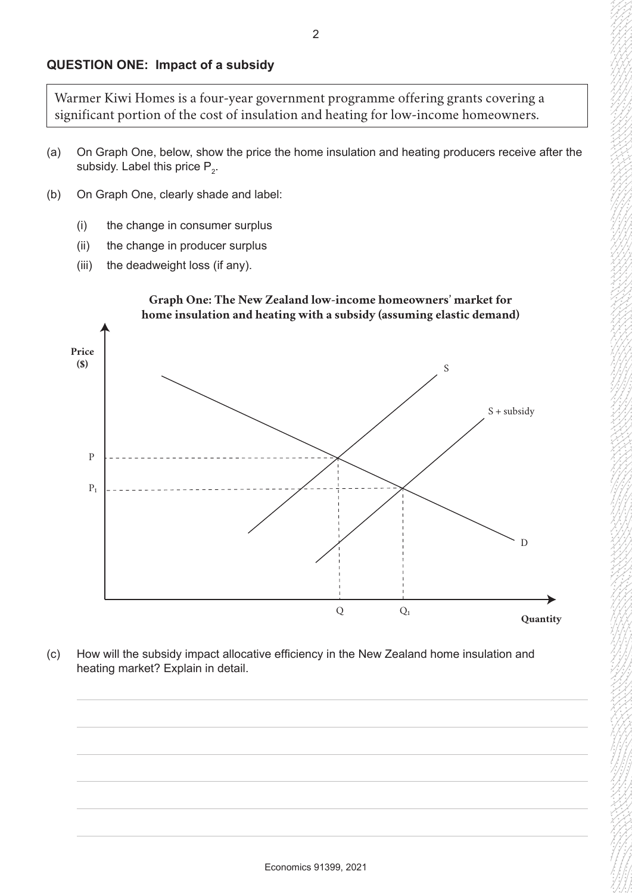Warmer Kiwi Homes is a four-year government programme offering grants covering a significant portion of the cost of insulation and heating for low-income homeowners.

- (a) On Graph One, below, show the price the home insulation and heating producers receive after the subsidy. Label this price  $\mathsf{P}_{2}$ .
- (b) On Graph One, clearly shade and label:
	- (i) the change in consumer surplus
	- (ii) the change in producer surplus
	- (iii) the deadweight loss (if any).



(c) How will the subsidy impact allocative efficiency in the New Zealand home insulation and heating market? Explain in detail.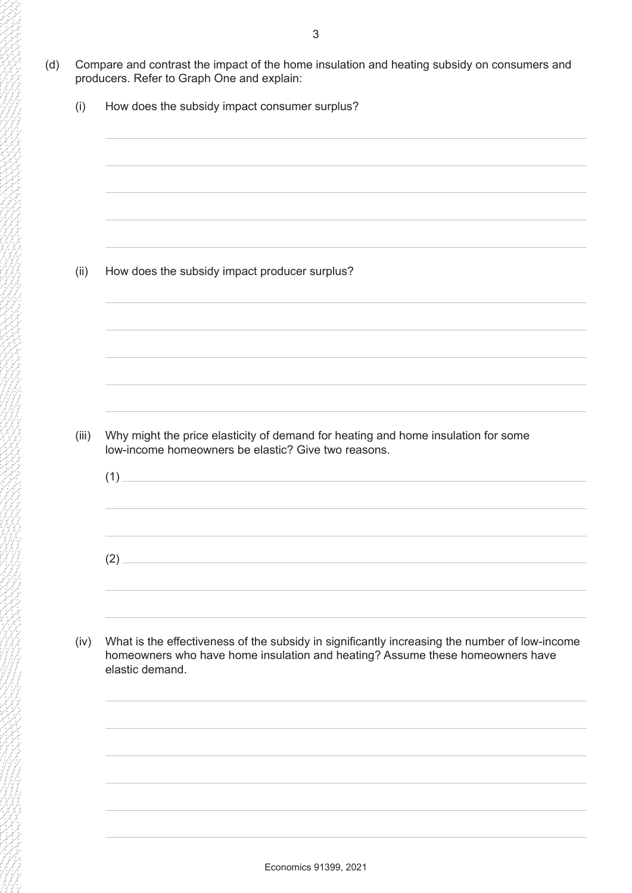- (d) Compare and contrast the impact of the home insulation and heating subsidy on consumers and producers. Refer to Graph One and explain:
	- (i) How does the subsidy impact consumer surplus?

(ii) How does the subsidy impact producer surplus?

- (iii) Why might the price elasticity of demand for heating and home insulation for some low-income homeowners be elastic? Give two reasons.
	- (1)  $(2)$
- (iv) What is the effectiveness of the subsidy in significantly increasing the number of low-income homeowners who have home insulation and heating? Assume these homeowners have elastic demand.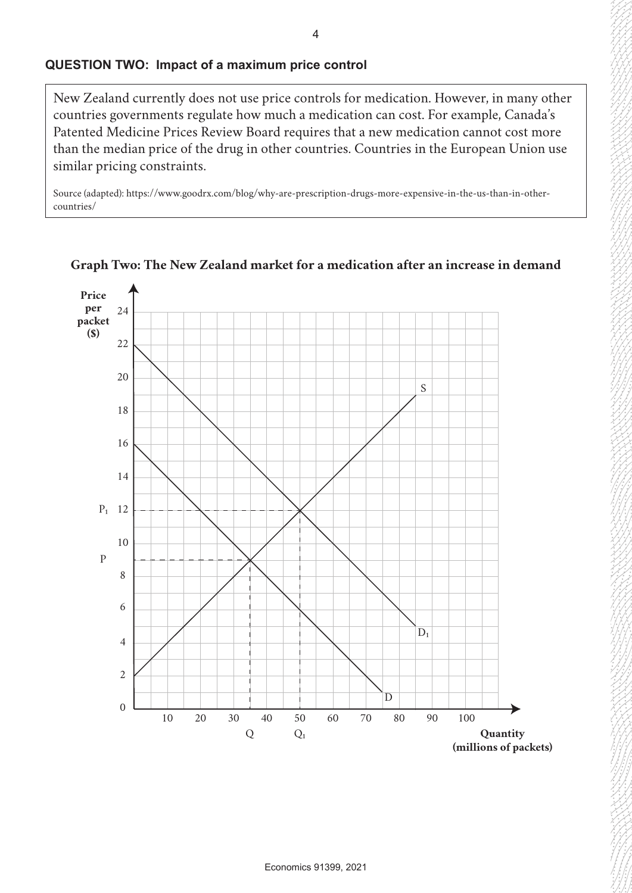#### **QUESTION TWO: Impact of a maximum price control**

New Zealand currently does not use price controls for medication. However, in many other countries governments regulate how much a medication can cost. For example, Canada's Patented Medicine Prices Review Board requires that a new medication cannot cost more than the median price of the drug in other countries. Countries in the European Union use similar pricing constraints.

Source (adapted): https://www.goodrx.com/blog/why-are-prescription-drugs-more-expensive-in-the-us-than-in-othercountries/



**Graph Two: The New Zealand market for a medication after an increase in demand**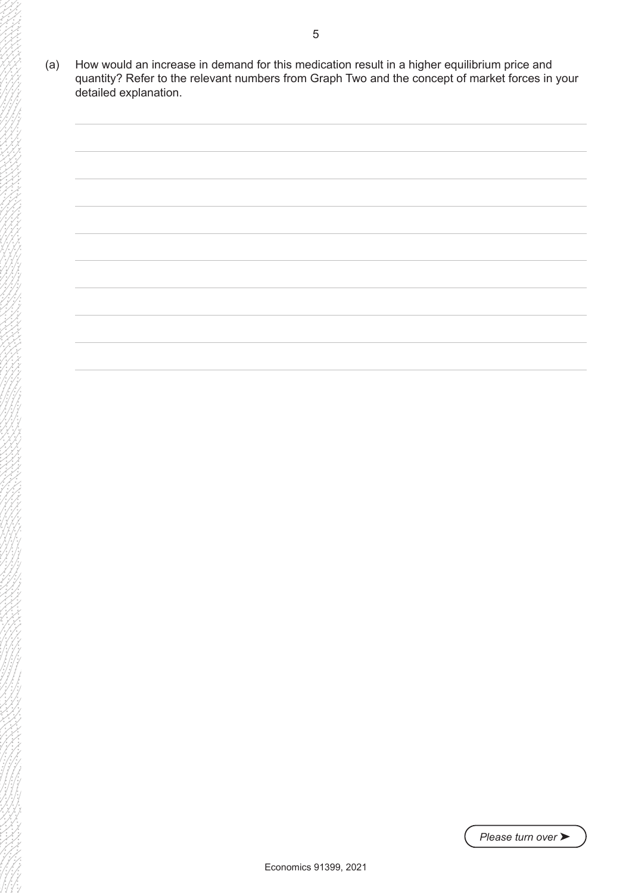(a) How would an increase in demand for this medication result in a higher equilibrium price and quantity? Refer to the relevant numbers from Graph Two and the concept of market forces in your detailed explanation.

![](_page_4_Picture_1.jpeg)

*Please turn over* ➤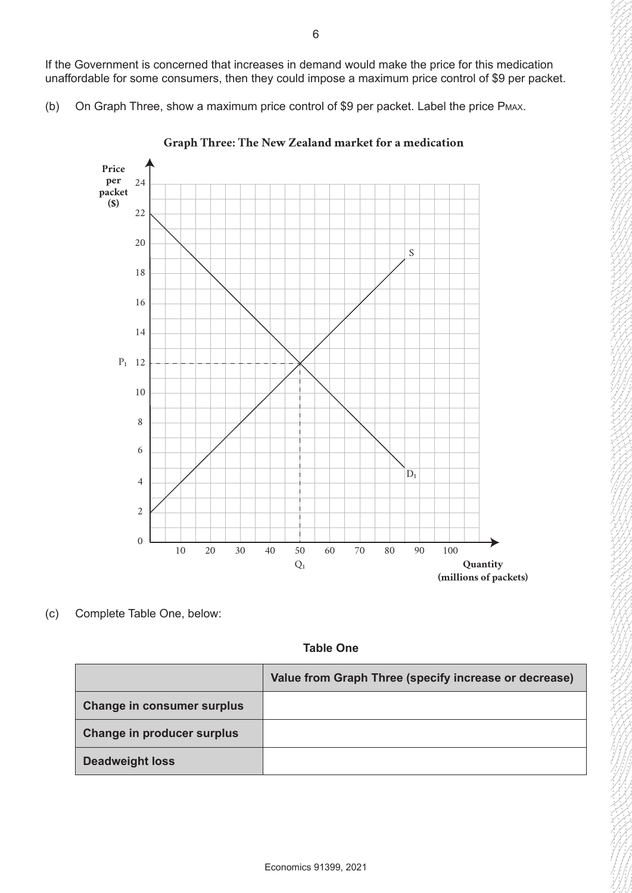If the Government is concerned that increases in demand would make the price for this medication unaffordable for some consumers, then they could impose a maximum price control of \$9 per packet.

(b) On Graph Three, show a maximum price control of \$9 per packet. Label the price Pmax.

![](_page_5_Figure_2.jpeg)

**Graph Three: The New Zealand market for a medication**

(c) Complete Table One, below:

**Table One**

|                                   | Value from Graph Three (specify increase or decrease) |  |
|-----------------------------------|-------------------------------------------------------|--|
| <b>Change in consumer surplus</b> |                                                       |  |
| Change in producer surplus        |                                                       |  |
| <b>Deadweight loss</b>            |                                                       |  |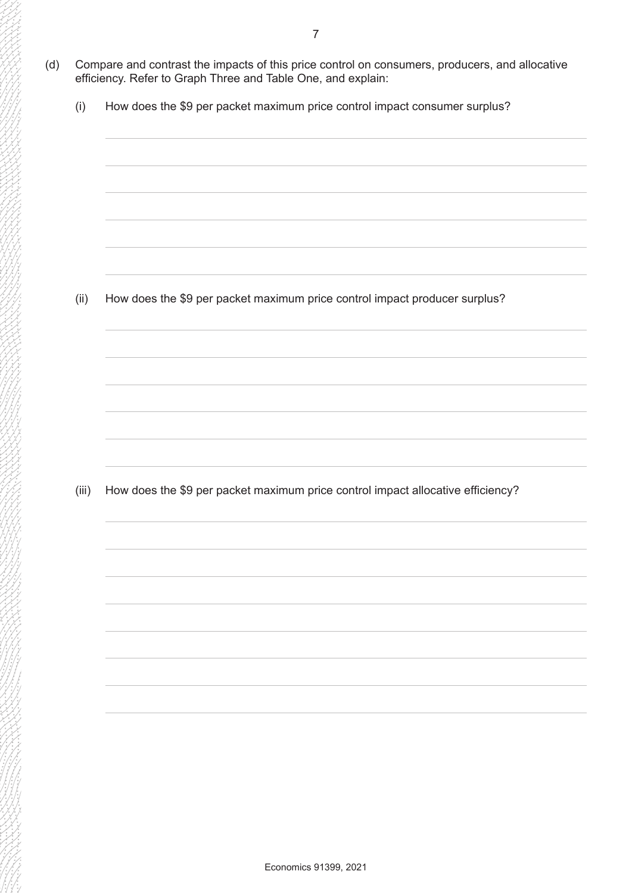- (d) Compare and contrast the impacts of this price control on consumers, producers, and allocative efficiency. Refer to Graph Three and Table One, and explain:
	- (i) How does the \$9 per packet maximum price control impact consumer surplus?

(ii) How does the \$9 per packet maximum price control impact producer surplus?

(iii) How does the \$9 per packet maximum price control impact allocative efficiency?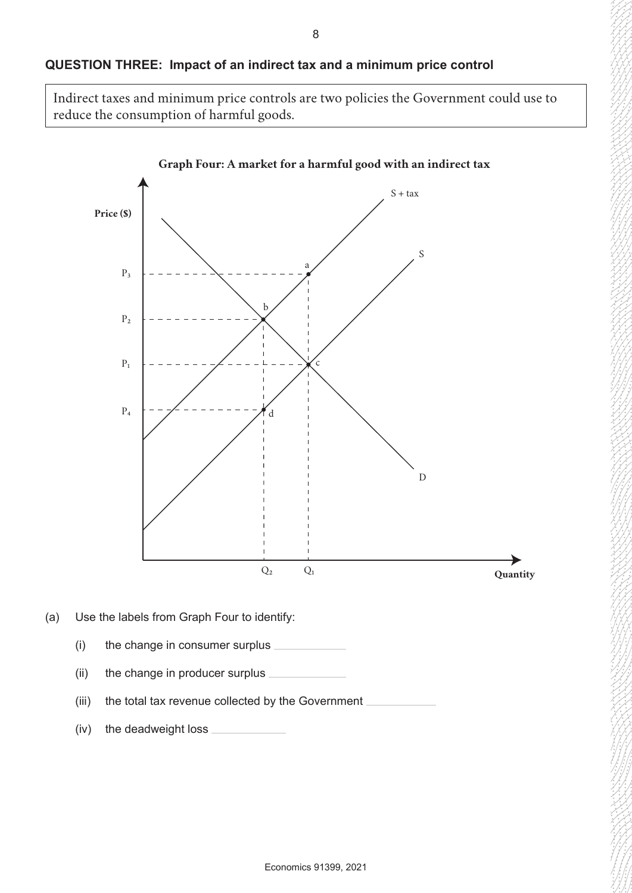## **QUESTION THREE: Impact of an indirect tax and a minimum price control**

Indirect taxes and minimum price controls are two policies the Government could use to reduce the consumption of harmful goods.

![](_page_7_Figure_2.jpeg)

- (ii) the change in producer surplus
- (iii) the total tax revenue collected by the Government  $\overline{\phantom{a}}$
- (iv) the deadweight loss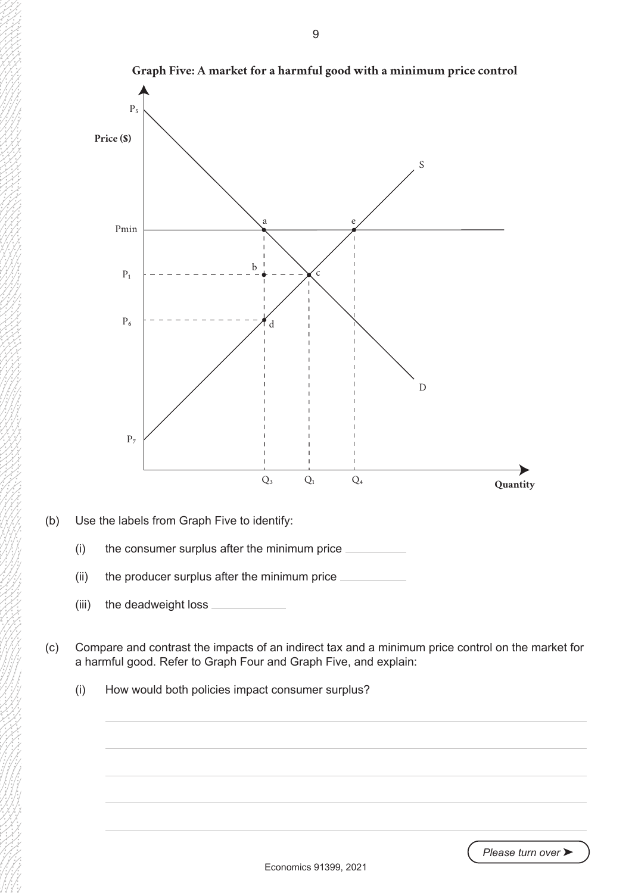![](_page_8_Figure_0.jpeg)

(iii) the deadweight loss

(c) Compare and contrast the impacts of an indirect tax and a minimum price control on the market for a harmful good. Refer to Graph Four and Graph Five, and explain:

(i) How would both policies impact consumer surplus?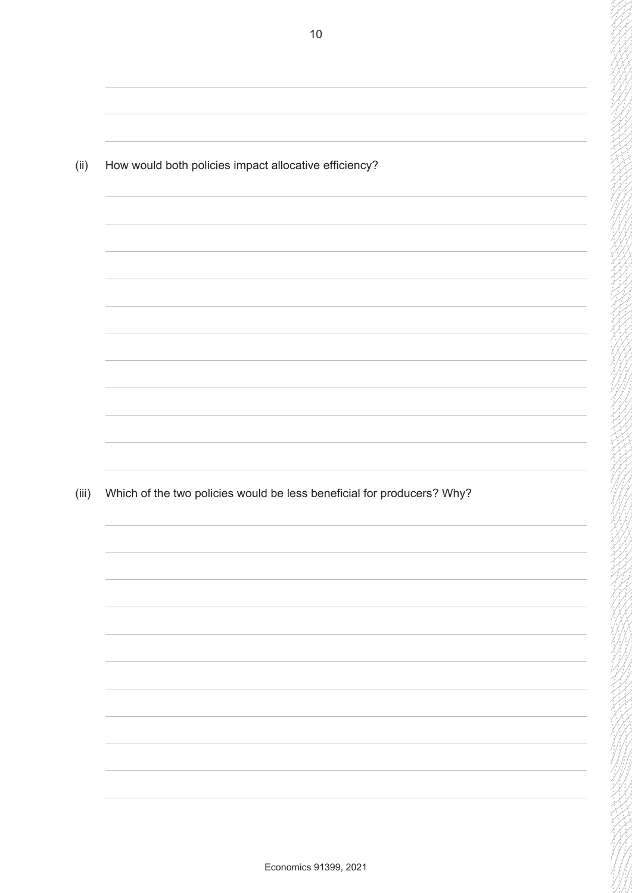(ii) How would both policies impact allocative efficiency? (iii) Which of the two policies would be less beneficial for producers? Why?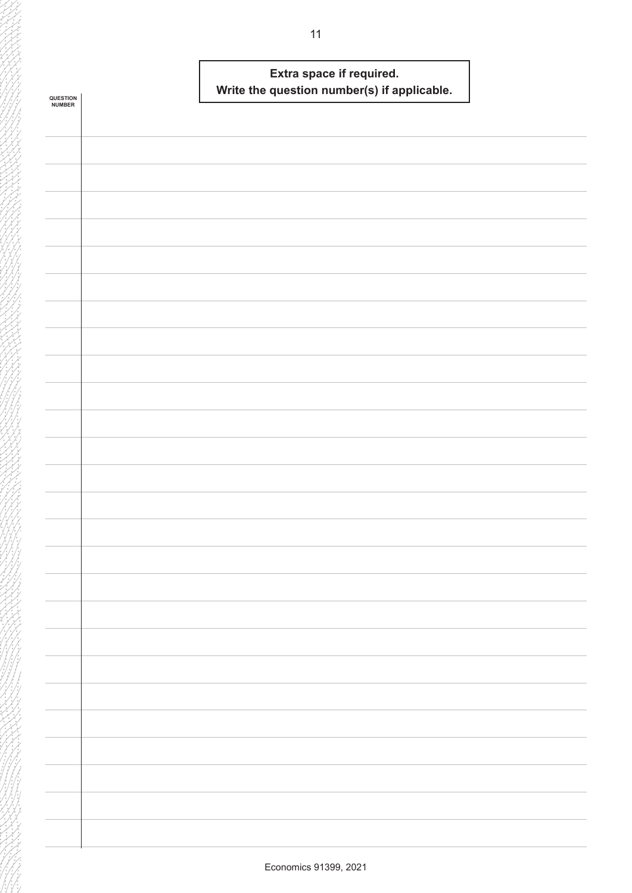| <b>QUESTION<br/>NUMBER</b> | Extra space if required.<br>Write the question number(s) if applicable. |  |
|----------------------------|-------------------------------------------------------------------------|--|
|                            |                                                                         |  |
|                            |                                                                         |  |
|                            |                                                                         |  |
|                            |                                                                         |  |
|                            |                                                                         |  |
|                            |                                                                         |  |
|                            |                                                                         |  |
|                            |                                                                         |  |
|                            |                                                                         |  |
|                            |                                                                         |  |
|                            |                                                                         |  |
|                            |                                                                         |  |
|                            |                                                                         |  |
|                            |                                                                         |  |
|                            |                                                                         |  |
|                            |                                                                         |  |
|                            |                                                                         |  |
|                            |                                                                         |  |
|                            |                                                                         |  |
|                            |                                                                         |  |